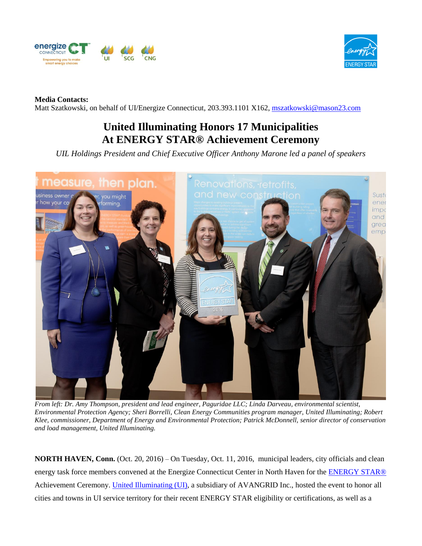



## **Media Contacts:**

Matt Szatkowski, on behalf of UI/Energize Connecticut, 203.393.1101 X162, [mszatkowski@mason23.com](mailto:mszatkowski@mason23.com)

## **United Illuminating Honors 17 Municipalities At ENERGY STAR® Achievement Ceremony**

*UIL Holdings President and Chief Executive Officer Anthony Marone led a panel of speakers*



*From left: Dr. Amy Thompson, president and lead engineer, Paguridae LLC; Linda Darveau, environmental scientist, Environmental Protection Agency; Sheri Borrelli, Clean Energy Communities program manager, United Illuminating; Robert Klee, commissioner, Department of Energy and Environmental Protection; Patrick McDonnell, senior director of conservation and load management, United Illuminating.* 

**NORTH HAVEN, Conn.** (Oct. 20, 2016) – On Tuesday, Oct. 11, 2016, municipal leaders, city officials and clean energy task force members convened at the Energize Connecticut Center in North Haven for the [ENERGY STAR®](https://www.energystar.gov/buildings/about-us/energy-star-certification?vsrefdom=public-relations&utm_campaign=energy-star-achviement-ceremony-media-post-release&utm_medium=public-relations&utm_source=ui-media-list&utm_content=general&utm_term=) Achievement Ceremony. [United Illuminating \(UI\),](https://www.uinet.com/wps/portal/uinet/home/!ut/p/a1/hc9NC4JAEAbg3-LB6-64umrdFgnZsMSKsr2Eiqmhrqjp30-hS9HH3Aael3cGCxxiUUdDkUV9IeuonHdhXjyfuxvH4owfAwrc4CTwd44GABM4TwC-DIN_-RMWb2RvGhNZMevAt-Bq5Al-VKyxKOIKjUmFAGmGRUwKCwomJTqx7PlEVse6nWHRpte0TVt0b6fX8r5vuqUKKozjiDIpszJFiaxU-BTJZdfj8FXipgrhRsvBY4ryAD5twaw!/dl5/d5/L2dBISEvZ0FBIS9nQSEh/?vsrefdom=public-relations&utm_campaign=energy-star-achviement-ceremony-media-post-release&utm_medium=public-relations&utm_source=ui-media-list&utm_content=general&utm_term=) a subsidiary of AVANGRID Inc., hosted the event to honor all cities and towns in UI service territory for their recent ENERGY STAR eligibility or certifications, as well as a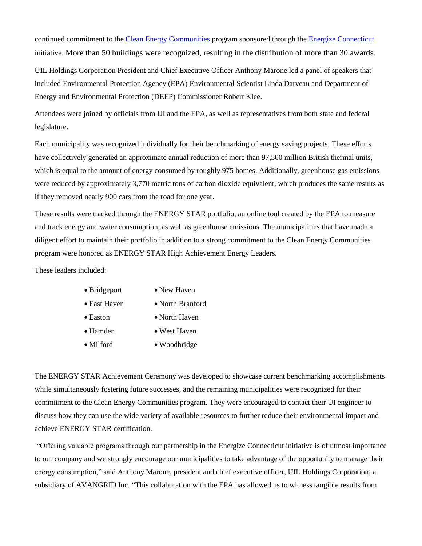continued commitment to the [Clean Energy Communities](http://www.energizect.com/your-town/solutions-list/clean-energy-communities?vsrefdom=public-relations&utm_campaign=energy-star-achviement-ceremony-media-post-release&utm_medium=public-relations&utm_source=ui-media-list&utm_content=general&utm_term=) program sponsored through the [Energize Connecticut](http://www.energizect.com/?vsrefdom=public-relations&utm_campaign=energy-star-achviement-ceremony-media-post-release&utm_medium=public-relations&utm_source=ui-media-list&utm_content=general&utm_term=) initiative. More than 50 buildings were recognized, resulting in the distribution of more than 30 awards.

UIL Holdings Corporation President and Chief Executive Officer Anthony Marone led a panel of speakers that included Environmental Protection Agency (EPA) Environmental Scientist Linda Darveau and Department of Energy and Environmental Protection (DEEP) Commissioner Robert Klee.

Attendees were joined by officials from UI and the EPA, as well as representatives from both state and federal legislature.

Each municipality was recognized individually for their benchmarking of energy saving projects. These efforts have collectively generated an approximate annual reduction of more than 97,500 million British thermal units, which is equal to the amount of energy consumed by roughly 975 homes. Additionally, greenhouse gas emissions were reduced by approximately 3,770 metric tons of carbon dioxide equivalent, which produces the same results as if they removed nearly 900 cars from the road for one year.

These results were tracked through the ENERGY STAR portfolio, an online tool created by the EPA to measure and track energy and water consumption, as well as greenhouse emissions. The municipalities that have made a diligent effort to maintain their portfolio in addition to a strong commitment to the Clean Energy Communities program were honored as ENERGY STAR High Achievement Energy Leaders.

These leaders included:

- Bridgeport New Haven
- East Haven North Branford
- Easton North Haven
- Hamden West Haven
- Milford Woodbridge

The ENERGY STAR Achievement Ceremony was developed to showcase current benchmarking accomplishments while simultaneously fostering future successes, and the remaining municipalities were recognized for their commitment to the Clean Energy Communities program. They were encouraged to contact their UI engineer to discuss how they can use the wide variety of available resources to further reduce their environmental impact and achieve ENERGY STAR certification.

"Offering valuable programs through our partnership in the Energize Connecticut initiative is of utmost importance to our company and we strongly encourage our municipalities to take advantage of the opportunity to manage their energy consumption," said Anthony Marone, president and chief executive officer, UIL Holdings Corporation, a subsidiary of AVANGRID Inc. "This collaboration with the EPA has allowed us to witness tangible results from